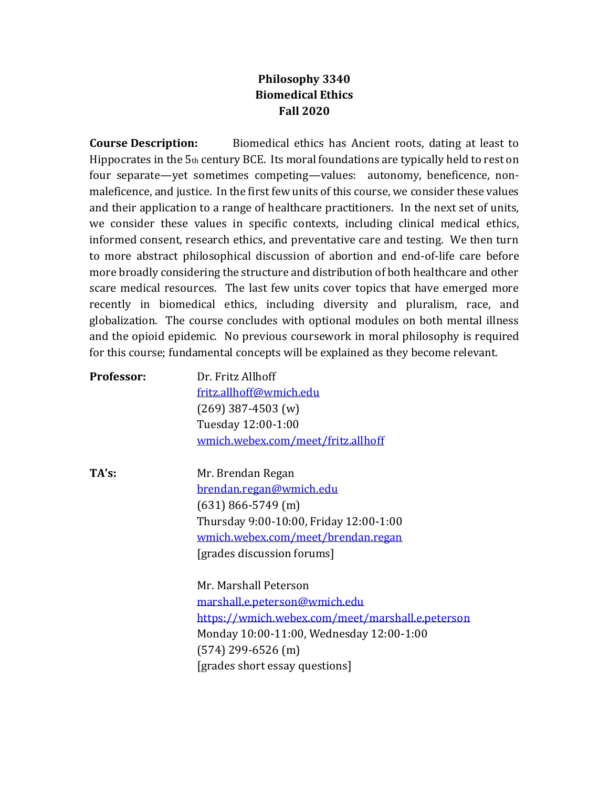## **Philosophy 3340 Biomedical Ethics Fall 2020**

**Course Description:** Biomedical ethics has Ancient roots, dating at least to Hippocrates in the 5th century BCE. Its moral foundations are typically held to rest on four separate—yet sometimes competing—values: autonomy, beneficence, nonmaleficence, and justice. In the first few units of this course, we consider these values and their application to a range of healthcare practitioners. In the next set of units, we consider these values in specific contexts, including clinical medical ethics, informed consent, research ethics, and preventative care and testing. We then turn to more abstract philosophical discussion of abortion and end-of-life care before more broadly considering the structure and distribution of both healthcare and other scare medical resources. The last few units cover topics that have emerged more recently in biomedical ethics, including diversity and pluralism, race, and globalization. The course concludes with optional modules on both mental illness and the opioid epidemic. No previous coursework in moral philosophy is required for this course; fundamental concepts will be explained as they become relevant.

| Professor: | Dr. Fritz Allhoff                  |
|------------|------------------------------------|
|            | fritz.allhoff@wmich.edu            |
|            | $(269)$ 387-4503 (w)               |
|            | Tuesday 12:00-1:00                 |
|            | wmich.webex.com/meet/fritz.allhoff |
|            |                                    |

**TA's:** Mr. Brendan Regan [brendan.regan@wmich.edu](mailto:brendan.regan@wmich.edu) (631) 866-5749 (m) Thursday 9:00-10:00, Friday 12:00-1:00 [wmich.webex.com/meet/brendan.regan](http://wmich.webex.com/meet/brendan.regan) [grades discussion forums]

> Mr. Marshall Peterson [marshall.e.peterson@wmich.edu](mailto:marshall.e.peterson@wmich.edu) <https://wmich.webex.com/meet/marshall.e.peterson> Monday 10:00-11:00, Wednesday 12:00-1:00 (574) 299-6526 (m) [grades short essay questions]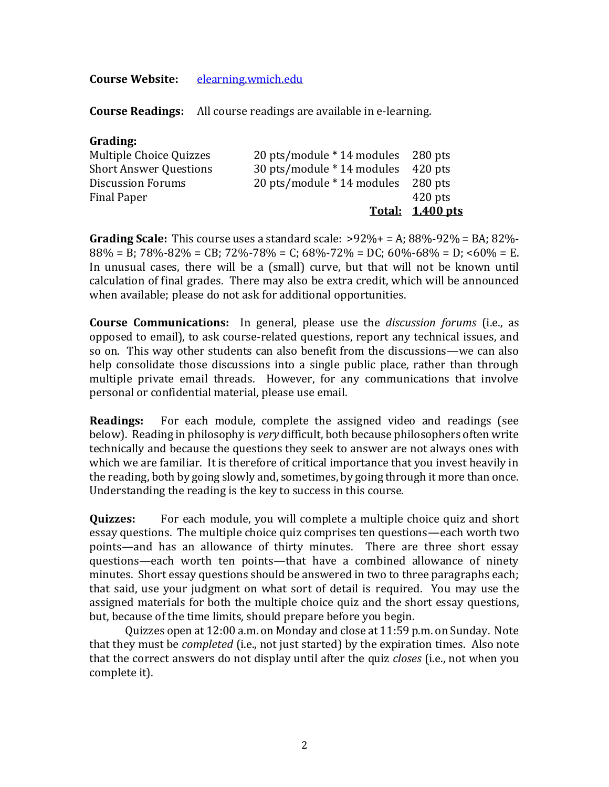## **Course Website:** [elearning.wmich.edu](http://elearning.wmich.edu/)

**Course Readings:** All course readings are available in e-learning.

## **Grading:**

|                               |                                    | Total: 1,400 pts |
|-------------------------------|------------------------------------|------------------|
| <b>Final Paper</b>            |                                    | $420$ pts        |
| <b>Discussion Forums</b>      | 20 pts/module * 14 modules 280 pts |                  |
| <b>Short Answer Questions</b> | 30 pts/module * 14 modules 420 pts |                  |
| Multiple Choice Quizzes       | 20 pts/module * 14 modules 280 pts |                  |
|                               |                                    |                  |

**Grading Scale:** This course uses a standard scale:  $>92\% + 54$ ; 88\%-92\% = BA; 82\%- $88\% = B$ ;  $78\% - 82\% = CB$ ;  $72\% - 78\% = C$ ;  $68\% - 72\% = DC$ ;  $60\% - 68\% = D$ ;  $60\% = E$ . In unusual cases, there will be a (small) curve, but that will not be known until calculation of final grades. There may also be extra credit, which will be announced when available; please do not ask for additional opportunities.

**Course Communications:** In general, please use the *discussion forums* (i.e., as opposed to email), to ask course-related questions, report any technical issues, and so on. This way other students can also benefit from the discussions—we can also help consolidate those discussions into a single public place, rather than through multiple private email threads. However, for any communications that involve personal or confidential material, please use email.

**Readings:** For each module, complete the assigned video and readings (see below). Reading in philosophy is *very* difficult, both because philosophers often write technically and because the questions they seek to answer are not always ones with which we are familiar. It is therefore of critical importance that you invest heavily in the reading, both by going slowly and, sometimes, by going through it more than once. Understanding the reading is the key to success in this course.

**Quizzes:** For each module, you will complete a multiple choice quiz and short essay questions. The multiple choice quiz comprises ten questions—each worth two points—and has an allowance of thirty minutes. There are three short essay questions—each worth ten points—that have a combined allowance of ninety minutes. Short essay questions should be answered in two to three paragraphs each; that said, use your judgment on what sort of detail is required. You may use the assigned materials for both the multiple choice quiz and the short essay questions, but, because of the time limits, should prepare before you begin.

Quizzes open at 12:00 a.m. on Monday and close at 11:59 p.m. on Sunday. Note that they must be *completed* (i.e., not just started) by the expiration times. Also note that the correct answers do not display until after the quiz *closes* (i.e., not when you complete it).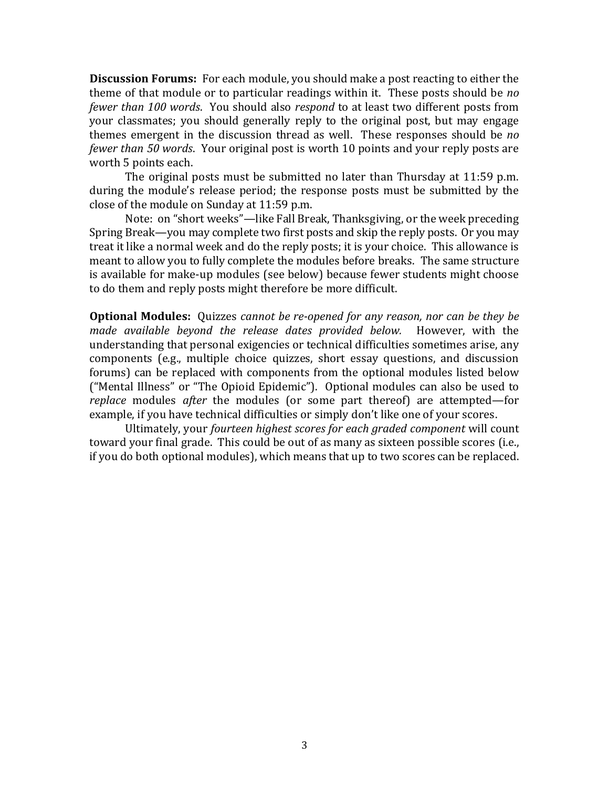**Discussion Forums:** For each module, you should make a post reacting to either the theme of that module or to particular readings within it. These posts should be *no fewer than 100 words*. You should also *respond* to at least two different posts from your classmates; you should generally reply to the original post, but may engage themes emergent in the discussion thread as well. These responses should be *no fewer than 50 words*. Your original post is worth 10 points and your reply posts are worth 5 points each.

The original posts must be submitted no later than Thursday at 11:59 p.m. during the module's release period; the response posts must be submitted by the close of the module on Sunday at 11:59 p.m.

Note: on "short weeks"—like Fall Break, Thanksgiving, or the week preceding Spring Break—you may complete two first posts and skip the reply posts. Or you may treat it like a normal week and do the reply posts; it is your choice. This allowance is meant to allow you to fully complete the modules before breaks. The same structure is available for make-up modules (see below) because fewer students might choose to do them and reply posts might therefore be more difficult.

**Optional Modules:** Quizzes *cannot be re-opened for any reason, nor can be they be made available beyond the release dates provided below.* However, with the understanding that personal exigencies or technical difficulties sometimes arise, any components (e.g., multiple choice quizzes, short essay questions, and discussion forums) can be replaced with components from the optional modules listed below ("Mental Illness" or "The Opioid Epidemic"). Optional modules can also be used to *replace* modules *after* the modules (or some part thereof) are attempted—for example, if you have technical difficulties or simply don't like one of your scores.

Ultimately, your *fourteen highest scores for each graded component* will count toward your final grade. This could be out of as many as sixteen possible scores (i.e., if you do both optional modules), which means that up to two scores can be replaced.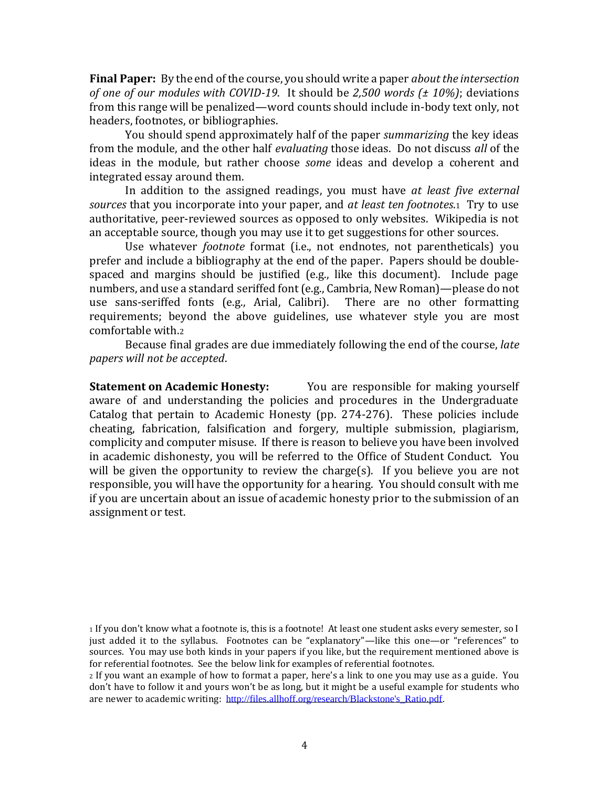**Final Paper:** By the end of the course, you should write a paper *about the intersection of one of our modules with COVID-19*. It should be *2,500 words (± 10%)*; deviations from this range will be penalized—word counts should include in-body text only, not headers, footnotes, or bibliographies.

You should spend approximately half of the paper *summarizing* the key ideas from the module, and the other half *evaluating* those ideas. Do not discuss *all* of the ideas in the module, but rather choose *some* ideas and develop a coherent and integrated essay around them.

In addition to the assigned readings, you must have *at least five external sources* that you incorporate into your paper, and *at least ten footnotes*.1 Try to use authoritative, peer-reviewed sources as opposed to only websites. Wikipedia is not an acceptable source, though you may use it to get suggestions for other sources.

Use whatever *footnote* format (i.e., not endnotes, not parentheticals) you prefer and include a bibliography at the end of the paper. Papers should be doublespaced and margins should be justified (e.g., like this document). Include page numbers, and use a standard seriffed font (e.g., Cambria, New Roman)—please do not use sans-seriffed fonts (e.g., Arial, Calibri). There are no other formatting requirements; beyond the above guidelines, use whatever style you are most comfortable with.<sup>2</sup>

Because final grades are due immediately following the end of the course, *late papers will not be accepted*.

**Statement on Academic Honesty:** You are responsible for making yourself aware of and understanding the policies and procedures in the Undergraduate Catalog that pertain to Academic Honesty (pp. 274-276). These policies include cheating, fabrication, falsification and forgery, multiple submission, plagiarism, complicity and computer misuse. If there is reason to believe you have been involved in academic dishonesty, you will be referred to the Office of Student Conduct. You will be given the opportunity to review the charge(s). If you believe you are not responsible, you will have the opportunity for a hearing. You should consult with me if you are uncertain about an issue of academic honesty prior to the submission of an assignment or test.

<sup>1</sup> If you don't know what a footnote is, this is a footnote! At least one student asks every semester, so I just added it to the syllabus. Footnotes can be "explanatory"—like this one—or "references" to sources. You may use both kinds in your papers if you like, but the requirement mentioned above is for referential footnotes. See the below link for examples of referential footnotes.

<sup>2</sup> If you want an example of how to format a paper, here's a link to one you may use as a guide. You don't have to follow it and yours won't be as long, but it might be a useful example for students who are newer to academic writing: [http://files.allhoff.org/research/Blackstone's\\_Ratio.pdf.](http://files.allhoff.org/research/Blackstone)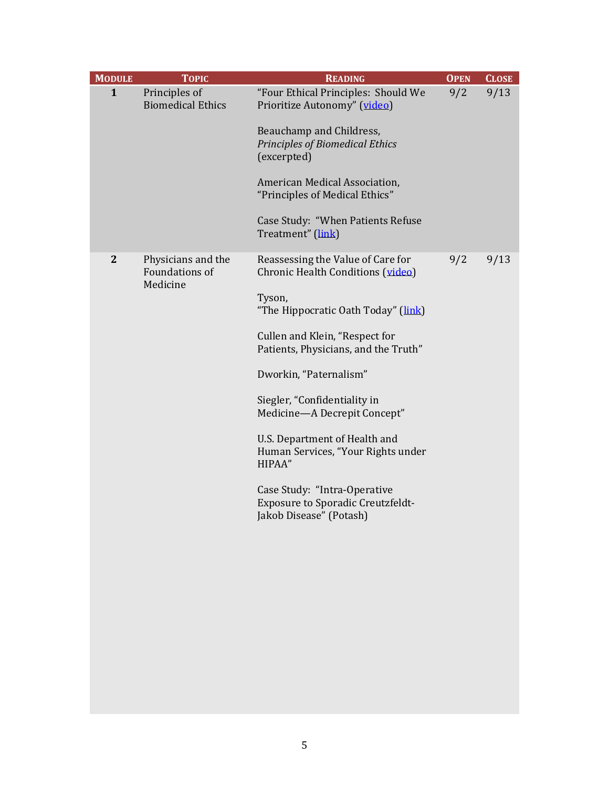| <b>MODULE</b> | <b>TOPIC</b>                                            | <b>READING</b>                                                                                                                                                                                                                                                                                                                                                                                                                                                                      | <b>OPEN</b> | <b>CLOSE</b> |
|---------------|---------------------------------------------------------|-------------------------------------------------------------------------------------------------------------------------------------------------------------------------------------------------------------------------------------------------------------------------------------------------------------------------------------------------------------------------------------------------------------------------------------------------------------------------------------|-------------|--------------|
| $\mathbf{1}$  | Principles of<br><b>Biomedical Ethics</b>               | "Four Ethical Principles: Should We<br>Prioritize Autonomy" (video)<br>Beauchamp and Childress,<br><b>Principles of Biomedical Ethics</b><br>(excerpted)<br>American Medical Association,<br>"Principles of Medical Ethics"<br>Case Study: "When Patients Refuse<br>Treatment" (link)                                                                                                                                                                                               | 9/2         | 9/13         |
| $\mathbf{2}$  | Physicians and the<br><b>Foundations of</b><br>Medicine | Reassessing the Value of Care for<br>Chronic Health Conditions (video)<br>Tyson,<br>"The Hippocratic Oath Today" (link)<br>Cullen and Klein, "Respect for<br>Patients, Physicians, and the Truth"<br>Dworkin, "Paternalism"<br>Siegler, "Confidentiality in<br>Medicine-A Decrepit Concept"<br>U.S. Department of Health and<br>Human Services, "Your Rights under<br>HIPAA"<br>Case Study: "Intra-Operative<br><b>Exposure to Sporadic Creutzfeldt-</b><br>Jakob Disease" (Potash) | 9/2         | 9/13         |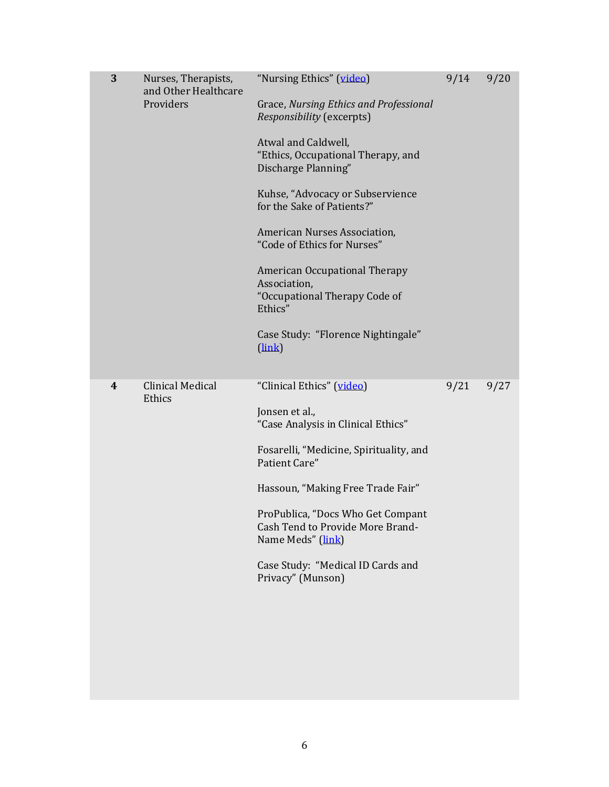| 3                       | Nurses, Therapists,<br>and Other Healthcare<br>Providers | "Nursing Ethics" (video)<br>Grace, Nursing Ethics and Professional<br>Responsibility (excerpts)<br>Atwal and Caldwell,<br>"Ethics, Occupational Therapy, and<br>Discharge Planning"<br>Kuhse, "Advocacy or Subservience<br>for the Sake of Patients?"<br>American Nurses Association,<br>"Code of Ethics for Nurses"<br><b>American Occupational Therapy</b><br>Association,<br>"Occupational Therapy Code of<br>Ethics"<br>Case Study: "Florence Nightingale"<br>(link) | 9/14 | 9/20 |
|-------------------------|----------------------------------------------------------|--------------------------------------------------------------------------------------------------------------------------------------------------------------------------------------------------------------------------------------------------------------------------------------------------------------------------------------------------------------------------------------------------------------------------------------------------------------------------|------|------|
| $\overline{\mathbf{4}}$ | <b>Clinical Medical</b><br>Ethics                        | "Clinical Ethics" (video)<br>Jonsen et al.,<br>"Case Analysis in Clinical Ethics"<br>Fosarelli, "Medicine, Spirituality, and<br>Patient Care"<br>Hassoun, "Making Free Trade Fair"<br>ProPublica, "Docs Who Get Compant<br>Cash Tend to Provide More Brand-<br>Name Meds" (link)<br>Case Study: "Medical ID Cards and<br>Privacy" (Munson)                                                                                                                               | 9/21 | 9/27 |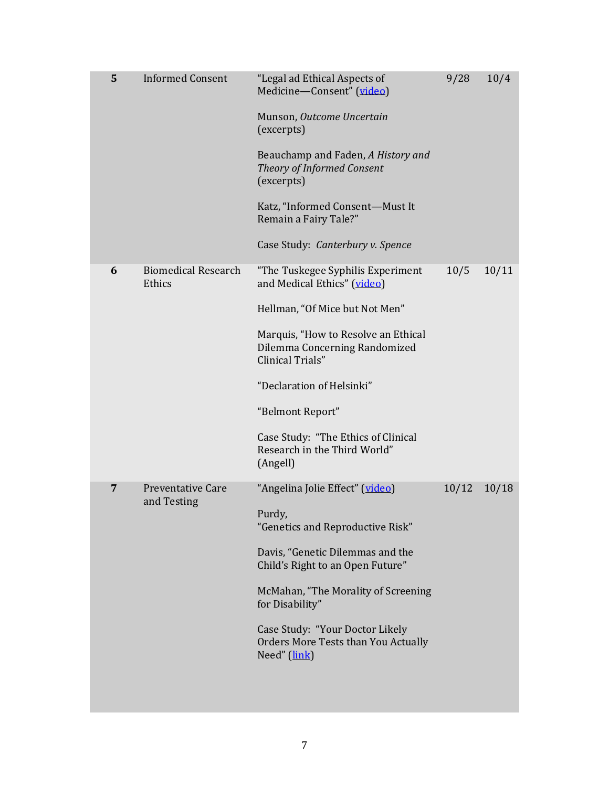| 5 | <b>Informed Consent</b>                 | "Legal ad Ethical Aspects of<br>Medicine-Consent" (video)<br>Munson, Outcome Uncertain<br>(excerpts)<br>Beauchamp and Faden, A History and<br>Theory of Informed Consent<br>(excerpts)<br>Katz, "Informed Consent-Must It<br>Remain a Fairy Tale?"<br>Case Study: Canterbury v. Spence                                             | 9/28  | 10/4  |
|---|-----------------------------------------|------------------------------------------------------------------------------------------------------------------------------------------------------------------------------------------------------------------------------------------------------------------------------------------------------------------------------------|-------|-------|
| 6 | <b>Biomedical Research</b><br>Ethics    | "The Tuskegee Syphilis Experiment<br>and Medical Ethics" (video)<br>Hellman, "Of Mice but Not Men"<br>Marquis, "How to Resolve an Ethical<br>Dilemma Concerning Randomized<br>Clinical Trials"<br>"Declaration of Helsinki"<br>"Belmont Report"<br>Case Study: "The Ethics of Clinical<br>Research in the Third World"<br>(Angell) | 10/5  | 10/11 |
| 7 | <b>Preventative Care</b><br>and Testing | "Angelina Jolie Effect" (video)<br>Purdy,<br>"Genetics and Reproductive Risk"<br>Davis, "Genetic Dilemmas and the<br>Child's Right to an Open Future"<br>McMahan, "The Morality of Screening<br>for Disability"<br>Case Study: "Your Doctor Likely<br><b>Orders More Tests than You Actually</b><br>Need" (link)                   | 10/12 | 10/18 |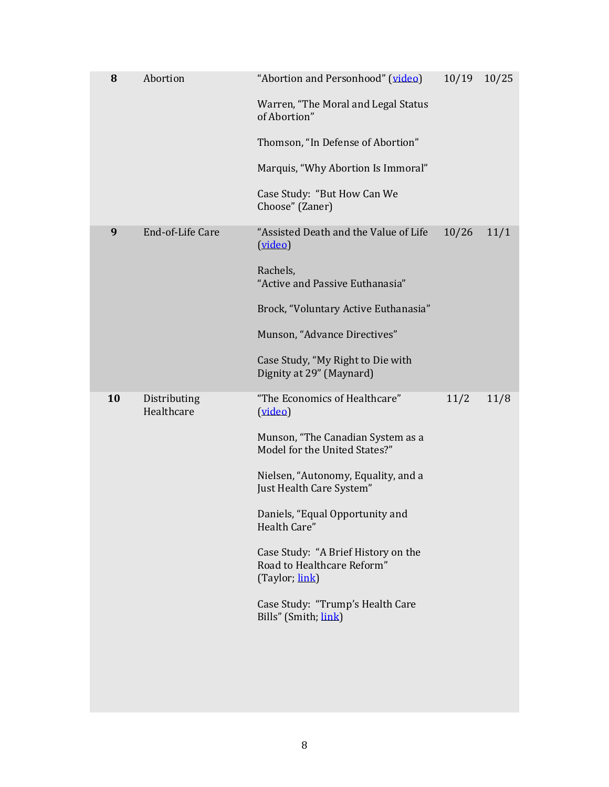| 8  | Abortion                   | "Abortion and Personhood" (video)<br>Warren, "The Moral and Legal Status<br>of Abortion"<br>Thomson, "In Defense of Abortion"<br>Marquis, "Why Abortion Is Immoral"<br>Case Study: "But How Can We<br>Choose" (Zaner)                                                                                                                                                                   | 10/19 | 10/25 |
|----|----------------------------|-----------------------------------------------------------------------------------------------------------------------------------------------------------------------------------------------------------------------------------------------------------------------------------------------------------------------------------------------------------------------------------------|-------|-------|
| 9  | End-of-Life Care           | "Assisted Death and the Value of Life<br>(video)<br>Rachels,<br>"Active and Passive Euthanasia"<br>Brock, "Voluntary Active Euthanasia"<br>Munson, "Advance Directives"<br>Case Study, "My Right to Die with<br>Dignity at 29" (Maynard)                                                                                                                                                | 10/26 | 11/1  |
| 10 | Distributing<br>Healthcare | "The Economics of Healthcare"<br>(video)<br>Munson, "The Canadian System as a<br>Model for the United States?"<br>Nielsen, "Autonomy, Equality, and a<br>Just Health Care System"<br>Daniels, "Equal Opportunity and<br>Health Care"<br>Case Study: "A Brief History on the<br>Road to Healthcare Reform"<br>(Taylor; link)<br>Case Study: "Trump's Health Care<br>Bills" (Smith; link) | 11/2  | 11/8  |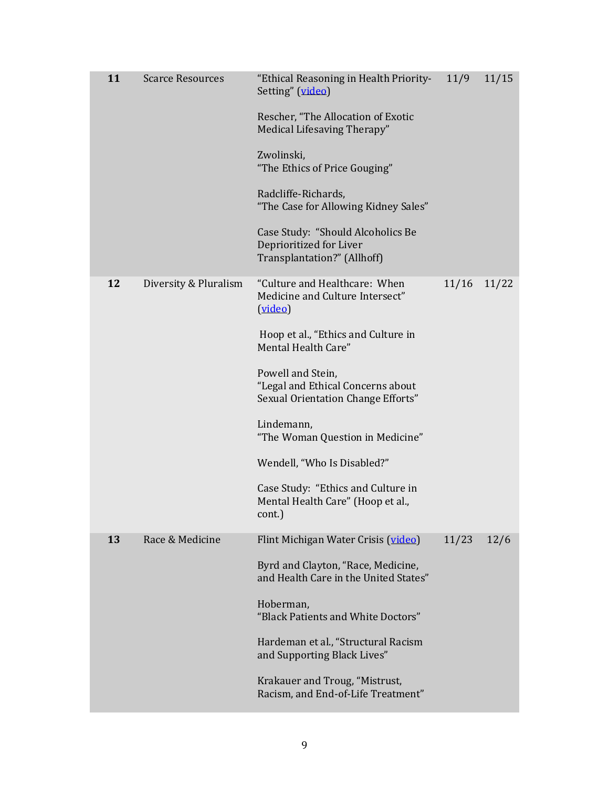| 11 | <b>Scarce Resources</b> | "Ethical Reasoning in Health Priority-<br>Setting" (video)<br>Rescher, "The Allocation of Exotic<br>Medical Lifesaving Therapy"<br>Zwolinski,<br>"The Ethics of Price Gouging"<br>Radcliffe-Richards,<br>"The Case for Allowing Kidney Sales"<br>Case Study: "Should Alcoholics Be<br>Deprioritized for Liver<br>Transplantation?" (Allhoff)                                                                    | 11/9  | 11/15 |
|----|-------------------------|-----------------------------------------------------------------------------------------------------------------------------------------------------------------------------------------------------------------------------------------------------------------------------------------------------------------------------------------------------------------------------------------------------------------|-------|-------|
| 12 | Diversity & Pluralism   | "Culture and Healthcare: When<br>Medicine and Culture Intersect"<br>(video)<br>Hoop et al., "Ethics and Culture in<br>Mental Health Care"<br>Powell and Stein,<br>"Legal and Ethical Concerns about<br>Sexual Orientation Change Efforts"<br>Lindemann,<br>"The Woman Question in Medicine"<br>Wendell, "Who Is Disabled?"<br>Case Study: "Ethics and Culture in<br>Mental Health Care" (Hoop et al.,<br>cont.) | 11/16 | 11/22 |
| 13 | Race & Medicine         | Flint Michigan Water Crisis (video)<br>Byrd and Clayton, "Race, Medicine,<br>and Health Care in the United States"<br>Hoberman,<br>"Black Patients and White Doctors"<br>Hardeman et al., "Structural Racism<br>and Supporting Black Lives"<br>Krakauer and Troug, "Mistrust,<br>Racism, and End-of-Life Treatment"                                                                                             | 11/23 | 12/6  |